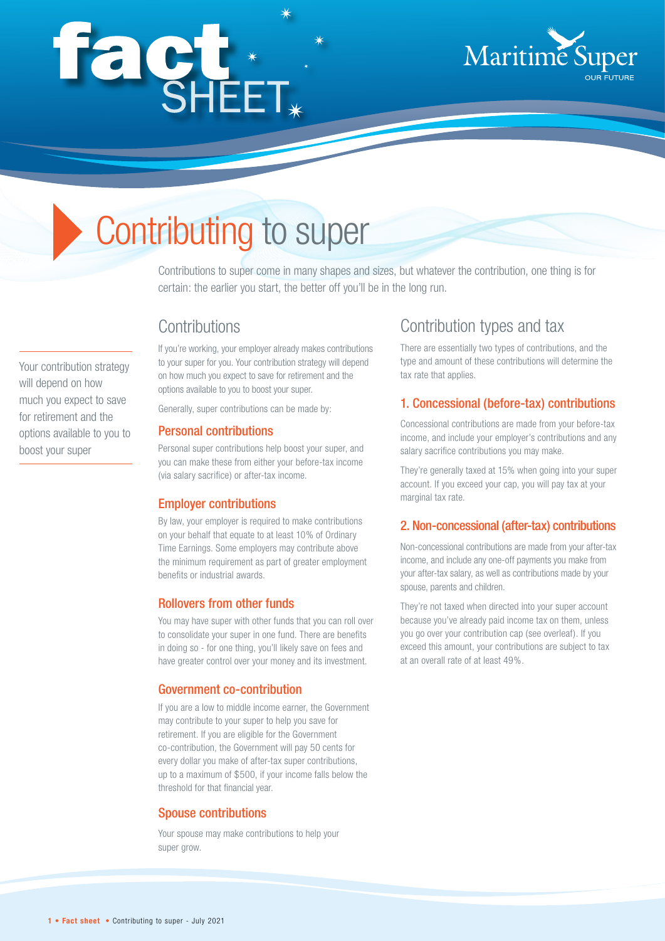# façt\*



# Contributing to super

Contributions to super come in many shapes and sizes, but whatever the contribution, one thing is for certain: the earlier you start, the better off you'll be in the long run.

### **Contributions**

If you're working, your employer already makes contributions to your super for you. Your contribution strategy will depend on how much you expect to save for retirement and the options available to you to boost your super.

Generally, super contributions can be made by:

#### Personal contributions

Personal super contributions help boost your super, and you can make these from either your before-tax income (via salary sacrifice) or after-tax income.

#### Employer contributions

By law, your employer is required to make contributions on your behalf that equate to at least 10% of Ordinary Time Earnings. Some employers may contribute above the minimum requirement as part of greater employment benefits or industrial awards.

#### Rollovers from other funds

You may have super with other funds that you can roll over to consolidate your super in one fund. There are benefits in doing so - for one thing, you'll likely save on fees and have greater control over your money and its investment.

#### Government co-contribution

If you are a low to middle income earner, the Government may contribute to your super to help you save for retirement. If you are eligible for the Government co-contribution, the Government will pay 50 cents for every dollar you make of after-tax super contributions, up to a maximum of \$500, if your income falls below the threshold for that financial year.

#### Spouse contributions

Your spouse may make contributions to help your super grow.

## Contribution types and tax

There are essentially two types of contributions, and the type and amount of these contributions will determine the tax rate that applies.

#### 1. Concessional (before-tax) contributions

Concessional contributions are made from your before-tax income, and include your employer's contributions and any salary sacrifice contributions you may make.

They're generally taxed at 15% when going into your super account. If you exceed your cap, you will pay tax at your marginal tax rate.

#### 2. Non-concessional (after-tax) contributions

Non-concessional contributions are made from your after-tax income, and include any one-off payments you make from your after-tax salary, as well as contributions made by your spouse, parents and children.

They're not taxed when directed into your super account because you've already paid income tax on them, unless you go over your contribution cap (see overleaf). If you exceed this amount, your contributions are subject to tax at an overall rate of at least 49%.

for retirement and the options available to you to boost your super

Your contribution strategy will depend on how much you expect to save